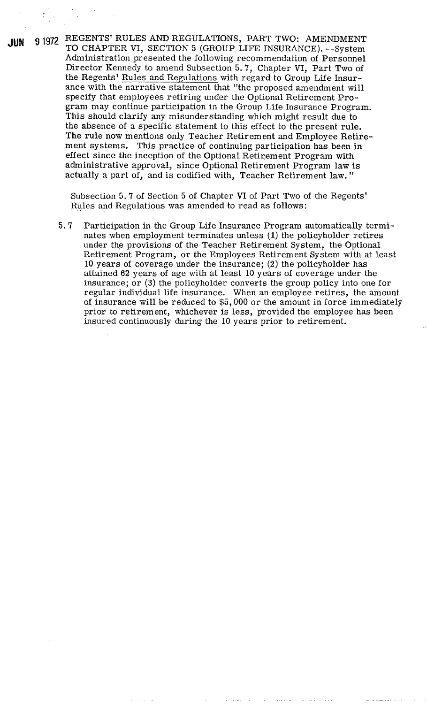**JUN 9** 1972 REGENTS' RULES AND REGULATIONS, PART TWO: AMENDMENT TO CHAPTER VI, SECTION 5 (GROUP LIFE INSURANCE). --System Administration presented the following recommendation of Personnel Director Kennedy to amend Subsection 5.7, Chapter VI, Part Two of the Regents' Rules and Regulations with regard to Group Life Insurance with the narrative statement that "the proposed amendment will specify that employees retiring under the Optional Retirement Program may continue participation in the Group Life Insurance Program. This should clarify any misunderstanding which might result due to the absence of a specific statement to this effect to the present rule. The rule now mentions only Teacher Retirement and Employee Retirement systems. This practice of continuing participation has been in effect since the inception of the Optional Retirement Program with administrative approval, since Optional Retirement Program law is actually a part of, and is codified with, Teacher Retirement law. "

> Subsection 5.7 of Section 5 of Chapter **VI** of Part Two of the Regents' Rules and Regulations was amended to read as follows:

5.7 Participation in the Group Life Insurance Program automatically terminates when employment terminates unless (1) the policyholder retires under the provisions of the Teacher Retirement System, the Optional Retirement Program, or the Employees Retirement System with at least 10 years of coverage under the insurance; (2) the policyholder has attained 62 years of age with at least 10 years of coverage under the insurance; or **(3)** the policyholder converts the group policy into one for regular individual life insurance. When an employee retires, the amount of insurance will be reduced to \$5,000 or the amount in force immediately prior to retirement, whichever is less, provided the employee has been insured continuously during the 10 years prior to retirement.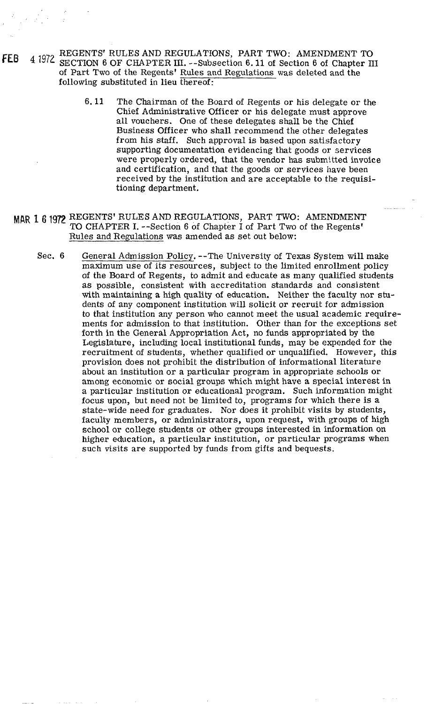- FEB 4 1972 REGENTS' RULES AND REGULATIONS, PART TWO: AMENDMENT TO SECTION 6 OF CHAPTER III. --Subsection 6.11 of Section 6 of Chapter III of Part Two of the Regents' Rules and Regulations was deleted and the following substituted in lieu thereof:
	- 6.11 The Chairman of the Board of Regents or his delegate or the Chief Administrative Officer or his delegate must approve all vouchers. One of these delegates shall be the Chief Business Officer who shall recommend the other delegates from his staff. Such approval is based upon satisfactory supporting documentation evidencing that goods or services were properly ordered, that the vendor has submitted invoice and certification, and that the goods or services have been received by the institution and are acceptable to the requisitioning department.
	- **Mhfi 1 <sup>6</sup>**1972 REGENTS' RULES AND REGULATIONS, PART TWO: AMENDMENT TO CHAPTER I. --Section 6 of Chapter **I** of Part Two of the Regents' Rules and Regulations was amended as set out below:
		- Sec. 6 General Admission Policy. --The University of Texas System will make maximum use of its resources, subject to the limited enrollment policy of the Board of Regents, to admit and educate as many qualified students as possible, consistent with accreditation standards and consistent with maintaining a high quality of education. Neither the faculty nor students of any component institution will solicit or recruit for admission to that institution any person who cannot meet the usual academic requirements for admission to that institution. Other than for the exceptions set forth in the General Appropriation Act, no funds appropriated by the Legislature, including local institutional funds, may be expended for the recruitment of students, whether qualified or unqualified. However, this provision does not prohibit the distribution of informational literature about an institution or a particular program in appropriate schools or among economic or social groups which might have a special interest in a particular institution or educational program. Such information might focus upon, but need not be limited to, programs for which there is a state-wide need for graduates. Nor does it prohibit visits by students, faculty members, or administrators, upon request, with groups of high school or college students or other groups interested in information on higher education, a particular institution, or particular programs when such visits are supported by funds from gifts and bequests.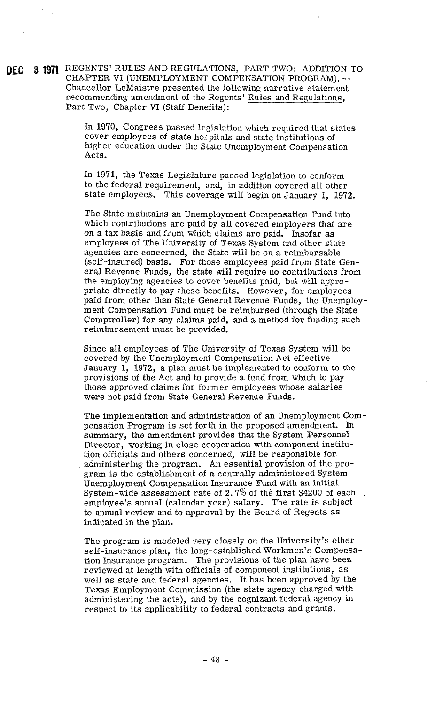**QE@ 3 1gn** REGENTS' RULES AND REGULATIONS, PART TWO: ADDITION TO CHAPTER VI (UNEMPLOYMENT COMPENSATION PROGRAM). -- Chancellor LeMaistre presented the following narrative statement recommending amendment of the Regents' Rules and Regulations, Part Two, Chapter VI (Staff Benefits):

> In 1970, Congress passed legislation which required that states cover employees of state hospitals and state institutions of higher education under the State Unemployment Compensation Acts.

> In 1971, the Texas Legislature passed legislation to conform to the federal requirement, and, in addition covered all other state employees. This coverage will begin on January 1, 1972.

The State maintains an Unemployment Compensation Fund into which contributions are paid by all covered employers that are on a tax basis and from which claims are paid. Insofar as employees of The University of Texas System and other state agencies are concerned, the State will be on a reimbursable (self-insured) basis. For those employees paid from State General Revenue Funds, the state will require no contributions from the employing agencies to cover benefits paid, but will appropriate directly to pay these benefits. However, for employees paid from other than State General Revenue Funds, the Unemployment Compensation Fund must be reimbursed (through the State Comptroller) for any claims paid, and a method for funding such reimbursement must be provided.

Since all employees of The University of Texas System will be covered by the Unemployment Compensation Act effective January 1, 1972, a plan must be implemented to conform to the provisions of the Act and to provide a fund from which to pay those approved claims for former employees whose salaries were not paid from State General Revenue Funds.

The implementation and administration of an Unemployment Compensation Program is set forth in the proposed amendment. In summary, the amendment provides that the System Personnel Director, working in close cooperation with component institution officials and others concerned, will be responsible for. administering the program. An essential provision of the program is the establishment of a centrally administered System Unemployment Compensation Insurance Fund with an initial System-wide assessment rate of  $2.7\%$  of the first \$4200 of each employee's annual (calendar year) salary. The rate is subject to annual review and to approval by the Board of Regents as indicated in the plan.

The program is modeled very closely on the University's other self-insurance plan, the long-established Workmen's Compensation Insurance program. The provisions of the plan have been reviewed at length with officials of component institutions, as well as state and federal agencies. It has been approved by the Texas Employment Commission (the state agency charged with administering the acts), and by the cognizant federal agency in respect to its applicability to federal contracts and grants.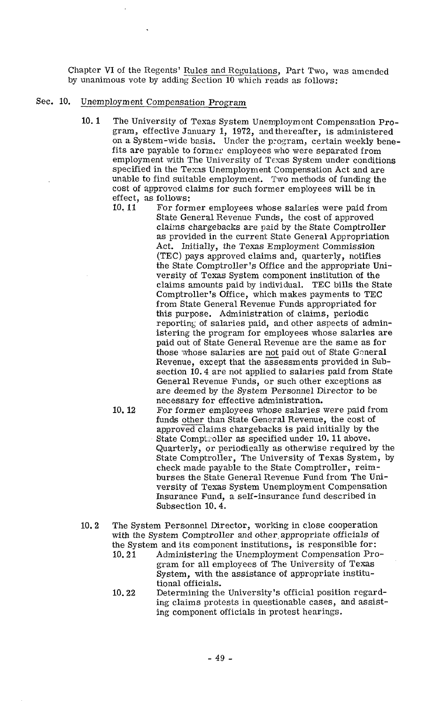Chapter VI of the Regents' Rules and Regulations, Part Two, was amended by unanimous vote by adding Section 10 which reads as follows:

## Sec. 10. Unemployment Compensation Program

- 10.1 The University of Texas System Unemployment Compensation Program, effective January 1, 1972, and thereafter, is administered on a System-wide basis. Under the program, certain weekly benefits are payable to former employees who were separated from employment with The University of Texas System under conditions specified in the Texas Unemployment Compensation Act and are unable to find suitable employment. Two methods of funding the cost of approved claims for such former employees will be in effect, as follows:<br>10.11 For form
	- For former employees whose salaries were paid from State General Revenue Funds, the cost of approved claims chargebacks are paid by the State Comptroller as provided in the current State General Appropriation Act. Initially, the Texas Employment Commission (TEC) pays approved claims and, quarterly, notifies the State Comptroller's Office and the appropriate University of Texas System component institution of the claims amounts paid by individual. TEC bills the State Comptroller's Office, which makes payments to TEC from State General Revenue Funds appropriated for this purpose. Administration of claims, periodic reporting of salaries paid, and other aspects of administering the program for employees whose salaries are paid out of State General Revenue are the same as for reporting of salaries paid, and other aspects of administering the program for employees whose salaries are paid out of State General Revenue are the same as for those whose salaries are <u>not</u> paid out of State General Rev Revenue, except that the assessments provided in Subsection 10.4 are not applied to salaries paid from State General Revenue Funds, or such other exceptions as are deemed by the System Personnel Director to be necessary for effective administration. Revenue, except that the assessments provided in S<br>section 10.4 are not applied to salaries paid from S<br>General Revenue Funds, or such other exceptions a<br>are deemed by the System Personnel Director to be<br>necessary for effe
	- 10.12 For former employees whose salaries were paid from<br>funds other than State General Revenue, the cost of approved claims chargebacks is paid initially by the State Comptroller as specified under 10.11 above. Quarterly, or periodically as otherwise required by the State Comptroller, The University of Texas System, by check made payable to the State Comptroller, reimburses the State General Revenue Fund from The University of Texas System Unemployment Compensation Insurance Fund, a self-insurance fund described in Subsection 10.4.
- 10.2 The System Personnel Director, working in close cooperation with the System Comptroller and other appropriate officials of the System and its component institutions, is responsible for:<br>10.21 Administering the Unemployment Compensation Pro
	- Administering the Unemployment Compensation Program for all employees of The University of Texas System, with the assistance of appropriate institutional officials.
	- 10.22 Determining the University's official position regarding claims protests in questionable cases, and assisting component officials in protest hearings.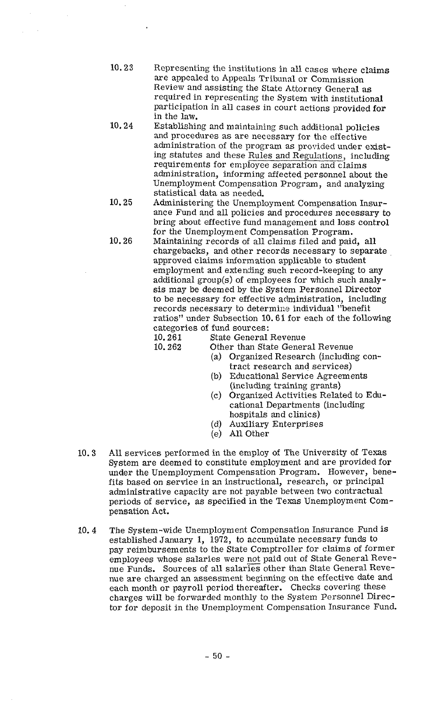- 10.23 Representing the institutions in all cases where claims are appealed to Appeals Tribunal or Commission Review and assisting the State Attorney General as required in representing the System with institutional participation in all cases in court actions provided for in the law.
- 10.24 Establishing and maintaining such additional policies and procedures as are necessary for the effective administration of the program as provided under existing statutes and these Rules and Regulations, including requirements for employee separation and claims administration, informing affected personnel about the Unemployment Compensation Program, and analyzing statistical data as needed.
- 10.25 Administering the Unemployment Compensation Insurance Fund and all policies and procedures necessary to bring about effective fund management and loss control for the Unemployment Compensation Program.
- 10.26 Maintaining records of all claims filed and paid, all chargebacks, and other records necessary to separate approved claims information applicable to student employment and extending such record-keeping to any additional group( $s$ ) of employees for which such analysis may be deemed by the System Personnel Director to be necessary for effective administration, including records necessary to determine individual "benefit" ratios" under Subsection 10.6 **1** for each of the following categories of fund sources:<br>10.261 State General
	-

10.261 State General Revenue<br>10.262 Other than State Gener

Other than State General Revenue

- (a) Organized Research (including contract research and services)
- (b) Educational Service Agreements (including training grants)
- (c) Organized Activities Related to Educational Departments (including hospitals and clinics)
- (d) Auxiliary Enterprises
- (e) All Other
- 10.3 All services performed in the employ of The University of Texas System are deemed to constitute employment and are provided for under the Unemployment Compensation Program, However, benefits based on service in an instructional, research, or principal administrative capacity are not payable between two contractual periods of service, as specified in the Texas Unemployment Compensation Act.
- 10.4 The System-wide Unemployment Compensation Insurance Fund is established January 1, 1972, to accumulate necessary funds to pay reimbursements to the State Comptroller for claims of former employees whose salaries were not paid out of State General Revenue Funds. Sources of all salaries other than State General Revenue are charged an assessment beginning on the effective date and each month or payroll period thereafter. Checks covering these charges will be forwarded monthly to the System Personnel Director for deposit in the Unemployment Compensation Insurance Fund.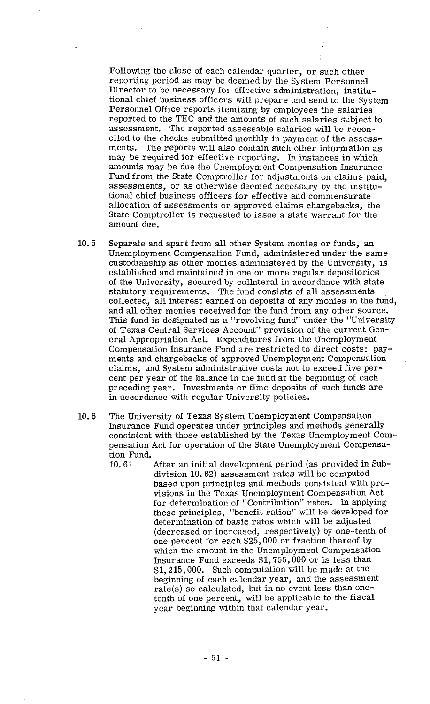Following the close of each calendar quarter, or such other reporting period as may be deemed by the System Personnel Director to be necessary for effective administration, institutional chief business officers will prepare and send to the System Personnel Office reports itemizing by employees the salaries reported to the TEC and the amounts of such salaries sabject to assessment. The reported assessable salaries will be reconciled to the checks submitted monthly in payment of the assessments. The reports will also contain such other information as may be required for effective reporting. In instances in which amounts may be due the Unemployment Compensation Insurance Fund from the State Comptroller for adjustments on claims paid, assessments, or as otherwise deemed necessary by the institutional chief business officers for effective and commensurate allocation of assessments or approved claims chargebacks, the State Comptroller is requested to issue a state warrant for the amount due.

- 10.5 Separate and apart from all other System monies or funds, an Unemployment Compensation Fund, administered under the same custodianship as other monies administered by the University, is established and maintained in one or more regular depositories of the University, secured by collateral in accordance with state statutory requirements. The fund consists of all assessments collected, all interest earned on deposits of any monies in the fund, and all other monies received for the fund from any other source. This fund is designated as a "revolving fund" under the "University of Texas Central Services Account" provision of the current General Appropriation Act. Expenditures from the Unemployment Compensation Insurance Fund are restricted to direct costs: payments and chargebacks of approved Unemployment Compensation claims, and System administrative costs not to exceed five percent per year of the balance in the fund at the beginning of each preceding year. Investments or time deposits of such funds are in accordance with regular University policies.
- 10.6 The University of Texas System Unemployment Compensation Insurance Fund operates under principles and methods generally consistent with those established by the Texas Unemployment Compensation Act for operation of the State Unemployment Compensation Fund.
	- 10.61 After an initial development period (as provided in Subdivision 10.62) assessment rates will be computed based upon principles and methods consistent with provisions in the Texas Unemployment Compensation Act for determination of "Contribution" rates. In applying these principles, "benefit ratios" will be developed for determination of basic rates which will be adjusted (decreased or increased, respectively) by one-tenth of one percent for each \$25,000 or fraction thereof by which the amount in the Unemployment Compensation Insurance Fund exceeds \$1,755,000 or is less than \$1,215,000. Such computation will be made at the beginning of each calendar year, and the assessment rate(s) so calculated, but in no event less than Onetenth of one percent, will be applicable to the fiscal year beginning within that calendar year.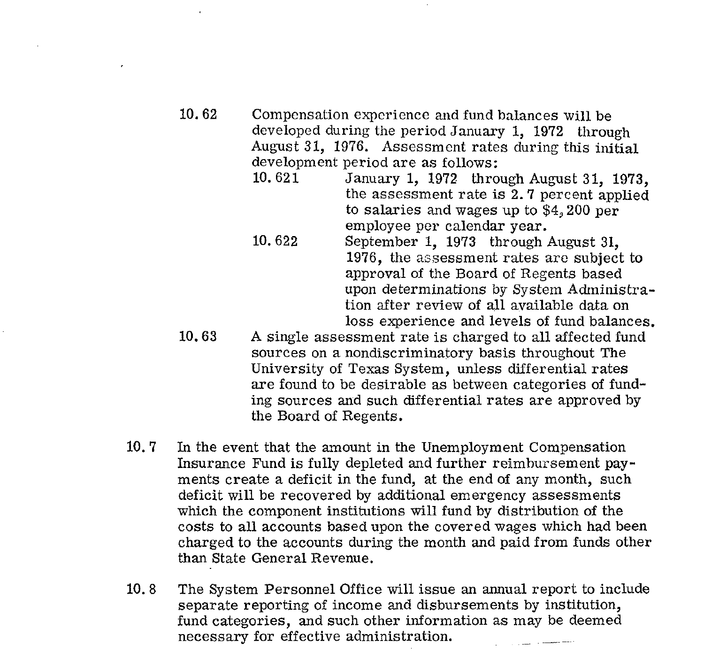- 10.62 Compensation experience and fund balances will be developed during the period January 1, 1972 through August 31, 1976. Assessment rates during this initial development period are as follows:<br>10.621 January 1, 1972 thro
	- January 1, 1972 through August 31, 1973. the assessment rate is 2.7 percent applied to salaries and wages up to \$4,200 per employee per calendar year.
	- 10.622 September 1, 1973 through August 31, 1976, the assessment rates are subject to approval of the Board of Regents based upon determinations by System Administration after review of all available data on loss experience and levels of fund balances.
- 10.63 A single assessment rate is charged to all affected fund sources on a nondiscriminatory basis throughout The University of Texas System, unless differential rates are found to be desirable as between categories of funding sources and such differential rates are approved by the Board of Regents.
- 10.7 In the event that the amount in the Unemployment Compensation Insurance Fund is fully depleted and further reimbursement payments create a deficit in the fund, at the end of any month, such deficit will be recovered by additional emergency assessments which the component institutions will fund by distribution of the costs to all accounts based upon the covered wages which had been charged to the accounts during the month and paid from funds other than State General Revenue.
- 10.8 The System Personnel Office will issue an annual report to include separate reporting of income and disbursements by institution, fund categories, and such other information as may be deemed necessary for effective administration.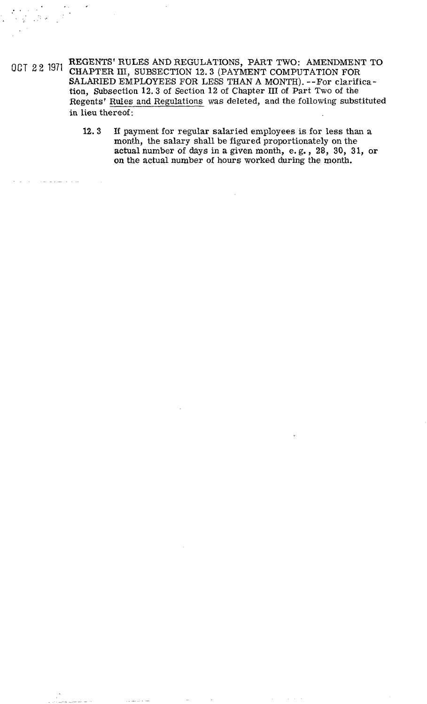**OCT 2 2** 1971 REGENTS' RULES AND REGULATIONS, PART TWO: AMENDMENT TO CHAPTER 111, SUBSECTION **12.3** (PAYMENT COMPUTATION FOR SALARIED EMPLOYEES FOR LESS THAN A MONTH). --For clarification, Subsection 12.3 of Section 12 of Chapter III of Part Two of the Regents' Rules and Regulations was deleted, and the following substituted in lieu thereof:

. . . . . . . ~

, .

12.3 If payment for regular salaried employees is for less than a month, the salary shall be figured proportionately on the actual number of days in a given month, e. g., 28, 30, **31,** or on the actual number of hours worked during the month.